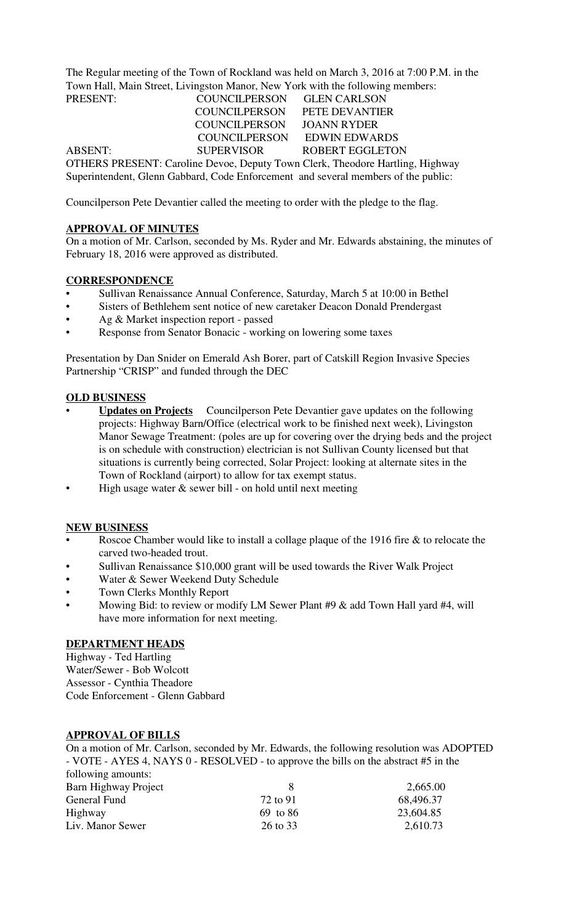The Regular meeting of the Town of Rockland was held on March 3, 2016 at 7:00 P.M. in the Town Hall, Main Street, Livingston Manor, New York with the following members:

PRESENT: COUNCILPERSON GLEN CARLSON COUNCILPERSON PETE DEVANTIER COUNCILPERSON JOANN RYDER COUNCILPERSON EDWIN EDWARDS ABSENT: SUPERVISOR ROBERT EGGLETON OTHERS PRESENT: Caroline Devoe, Deputy Town Clerk, Theodore Hartling, Highway Superintendent, Glenn Gabbard, Code Enforcement and several members of the public:

Councilperson Pete Devantier called the meeting to order with the pledge to the flag.

#### **APPROVAL OF MINUTES**

On a motion of Mr. Carlson, seconded by Ms. Ryder and Mr. Edwards abstaining, the minutes of February 18, 2016 were approved as distributed.

### **CORRESPONDENCE**

- Sullivan Renaissance Annual Conference, Saturday, March 5 at 10:00 in Bethel
- Sisters of Bethlehem sent notice of new caretaker Deacon Donald Prendergast
- Ag & Market inspection report passed
- Response from Senator Bonacic working on lowering some taxes

Presentation by Dan Snider on Emerald Ash Borer, part of Catskill Region Invasive Species Partnership "CRISP" and funded through the DEC

### **OLD BUSINESS**

- **Updates on Projects** Councilperson Pete Devantier gave updates on the following projects: Highway Barn/Office (electrical work to be finished next week), Livingston Manor Sewage Treatment: (poles are up for covering over the drying beds and the project is on schedule with construction) electrician is not Sullivan County licensed but that situations is currently being corrected, Solar Project: looking at alternate sites in the Town of Rockland (airport) to allow for tax exempt status.
- High usage water & sewer bill on hold until next meeting

#### **NEW BUSINESS**

- Roscoe Chamber would like to install a collage plaque of the 1916 fire & to relocate the carved two-headed trout.
- Sullivan Renaissance \$10,000 grant will be used towards the River Walk Project
- Water & Sewer Weekend Duty Schedule
- Town Clerks Monthly Report
- Mowing Bid: to review or modify LM Sewer Plant #9 & add Town Hall yard #4, will have more information for next meeting.

## **DEPARTMENT HEADS**

Highway - Ted Hartling Water/Sewer - Bob Wolcott Assessor - Cynthia Theadore Code Enforcement - Glenn Gabbard

## **APPROVAL OF BILLS**

On a motion of Mr. Carlson, seconded by Mr. Edwards, the following resolution was ADOPTED - VOTE - AYES 4, NAYS 0 - RESOLVED - to approve the bills on the abstract #5 in the following amounts:

|          | 2,665.00  |
|----------|-----------|
| 72 to 91 | 68,496.37 |
| 69 to 86 | 23,604.85 |
| 26 to 33 | 2,610.73  |
|          |           |